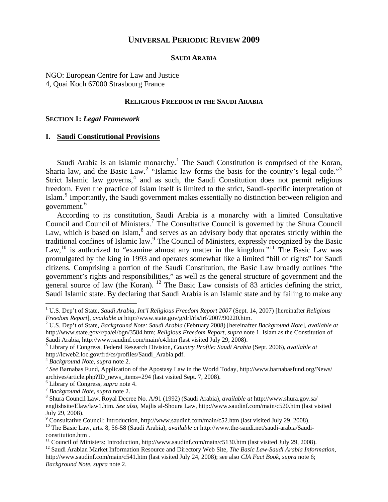# **UNIVERSAL PERIODIC REVIEW 2009**

#### **SAUDI ARABIA**

NGO: European Centre for Law and Justice 4, Quai Koch 67000 Strasbourg France

#### **RELIGIOUS FREEDOM IN THE SAUDI ARABIA**

#### **SECTION 1:** *Legal Framework*

#### **I. Saudi Constitutional Provisions**

Saudi Arabia is an Islamic monarchy.<sup>[1](#page-0-0)</sup> The Saudi Constitution is comprised of the Koran, Sharia law, and the Basic Law.<sup>[2](#page-0-1)</sup> "Islamic law forms the basis for the country's legal code."<sup>[3](#page-0-2)</sup> Strict Islamic law governs,<sup>[4](#page-0-3)</sup> and as such, the Saudi Constitution does not permit religious freedom. Even the practice of Islam itself is limited to the strict, Saudi-specific interpretation of Islam.<sup>[5](#page-0-4)</sup> Importantly, the Saudi government makes essentially no distinction between religion and government.<sup>[6](#page-0-5)</sup>

According to its constitution, Saudi Arabia is a monarchy with a limited Consultative Council and Council of Ministers.<sup>[7](#page-0-6)</sup> The Consultative Council is governed by the Shura Council Law, which is based on Islam,<sup>[8](#page-0-7)</sup> and serves as an advisory body that operates strictly within the traditional confines of Islamic law.<sup>[9](#page-0-8)</sup> The Council of Ministers, expressly recognized by the Basic Law,  $^{10}$  $^{10}$  $^{10}$  is authorized to "examine almost any matter in the kingdom."<sup>[11](#page-0-10)</sup> The Basic Law was promulgated by the king in 1993 and operates somewhat like a limited "bill of rights" for Saudi citizens. Comprising a portion of the Saudi Constitution, the Basic Law broadly outlines "the government's rights and responsibilities," as well as the general structure of government and the general source of law (the Koran). <sup>[12](#page-0-11)</sup> The Basic Law consists of 83 articles defining the strict, Saudi Islamic state. By declaring that Saudi Arabia is an Islamic state and by failing to make any

 $\overline{a}$ 

<span id="page-0-0"></span><sup>1</sup> U.S. Dep't of State, *Saudi Arabia, Int'l Religious Freedom Report 2007* (Sept. 14, 2007) [hereinafter *Religious Freedom Report*], *available at* http://www.state.gov/g/drl/rls/irf/2007/90220.htm. 2

<span id="page-0-1"></span>U.S. Dep't of State, *Background Note: Saudi Arabia* (February 2008) [hereinafter *Background Note*], *available at* http://www.state.gov/r/pa/ei/bgn/3584.htm; *Religious Freedom Report*, *supra* note 1. Islam as the Constitution of Saudi Arabia, http://www.saudinf.com/main/c4.htm (last visited July 29, 2008).

<span id="page-0-2"></span>Library of Congress, Federal Research Division, *Country Profile: Saudi Arabia* (Sept. 2006), *available at* http://lcweb2.loc.gov/frd/cs/profiles/Saudi\_Arabia.pdf.<br><sup>4</sup> Background Note, supra note 2.

<span id="page-0-4"></span><span id="page-0-3"></span><sup>&</sup>lt;sup>5</sup> See Barnabas Fund, Application of the Apostasy Law in the World Today, http://www.barnabasfund.org/News/ archives/article.php?ID\_news\_items=294 (last visited Sept. 7, 2008).

<span id="page-0-5"></span><sup>&</sup>lt;sup>6</sup> Library of Congress, *supra* note 4.

<sup>&</sup>lt;sup>7</sup> Background Note, *supra* note 2.

<span id="page-0-7"></span><span id="page-0-6"></span>Shura Council Law, Royal Decree No. A/91 (1992) (Saudi Arabia), *available at* http://www.shura.gov.sa/ englishsite/Elaw/law1.htm. *See also*, Majlis al-Shoura Law, http://www.saudinf.com/main/c520.htm (last visited July 29, 2008).

<sup>&</sup>lt;sup>9</sup> Consultative Council: Introduction, http://www.saudinf.com/main/c52.htm (last visited July 29, 2008).

<span id="page-0-9"></span><span id="page-0-8"></span><sup>&</sup>lt;sup>10</sup> The Basic Law, arts. 8, 56-58 (Saudi Arabia), *available at* http://www.the-saudi.net/saudi-arabia/Saudiconstitution.htm .<br><sup>11</sup> Council of Ministers: Introduction, http://www.saudinf.com/main/c5130.htm (last visited July 29, 2008).

<span id="page-0-11"></span><span id="page-0-10"></span><sup>&</sup>lt;sup>12</sup> Saudi Arabian Market Information Resource and Directory Web Site, *The Basic Law-Saudi Arabia Information*, http://www.saudinf.com/main/c541.htm (last visited July 24, 2008); see also *CIA Fact Book*, *supra* note 6; *Background Note*, *supra* note 2.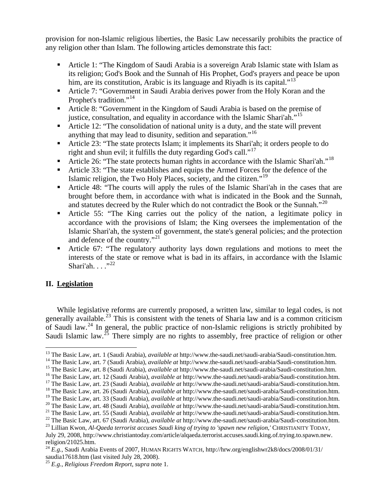provision for non-Islamic religious liberties, the Basic Law necessarily prohibits the practice of any religion other than Islam. The following articles demonstrate this fact:

- Article 1: "The Kingdom of Saudi Arabia is a sovereign Arab Islamic state with Islam as its religion; God's Book and the Sunnah of His Prophet, God's prayers and peace be upon him, are its constitution, Arabic is its language and Riyadh is its capital."<sup>[13](#page-1-0)</sup>
- Article 7: "Government in Saudi Arabia derives power from the Holy Koran and the Prophet's tradition."<sup>[14](#page-1-1)</sup>
- Article 8: "Government in the Kingdom of Saudi Arabia is based on the premise of justice, consultation, and equality in accordance with the Islamic Shari'ah."<sup>[15](#page-1-2)</sup>
- Article 12: "The consolidation of national unity is a duty, and the state will prevent anything that may lead to disunity, sedition and separation."<sup>[16](#page-1-3)</sup>
- Article 23: "The state protects Islam; it implements its Shari'ah; it orders people to do right and shun evil; it fulfills the duty regarding God's call."<sup>[17](#page-1-4)</sup>
- Article 26: "The state protects human rights in accordance with the Islamic Shari'ah."<sup>[18](#page-1-5)</sup>
- Article 33: "The state establishes and equips the Armed Forces for the defence of the Islamic religion, the Two Holy Places, society, and the citizen."[19](#page-1-6)
- Article 48: "The courts will apply the rules of the Islamic Shari'ah in the cases that are brought before them, in accordance with what is indicated in the Book and the Sunnah, and statutes decreed by the Ruler which do not contradict the Book or the Sunnah."<sup>[20](#page-1-7)</sup>
- Article 55: "The King carries out the policy of the nation, a legitimate policy in accordance with the provisions of Islam; the King oversees the implementation of the Islamic Shari'ah, the system of government, the state's general policies; and the protection and defence of the country."<sup>[21](#page-1-8)</sup>
- Article 67: "The regulatory authority lays down regulations and motions to meet the interests of the state or remove what is bad in its affairs, in accordance with the Islamic Shari'ah.  $\ldots$ ."<sup>[22](#page-1-9)</sup>

# **II. Legislation**

While legislative reforms are currently proposed, a written law, similar to legal codes, is not generally available.<sup>[23](#page-1-10)</sup> This is consistent with the tenets of Sharia law and is a common criticism of Saudi law.<sup>[24](#page-1-11)</sup> In general, the public practice of non-Islamic religions is strictly prohibited by Saudi Islamic law.<sup>[25](#page-1-12)</sup> There simply are no rights to assembly, free practice of religion or other

<span id="page-1-0"></span><sup>&</sup>lt;sup>13</sup> The Basic Law, art. 1 (Saudi Arabia), *available at* http://www.the-saudi.net/saudi-arabia/Saudi-constitution.htm.

<span id="page-1-2"></span>

<span id="page-1-4"></span><span id="page-1-3"></span>

<span id="page-1-1"></span><sup>&</sup>lt;sup>14</sup> The Basic Law, art. 7 (Saudi Arabia), *available at* http://www.the-saudi.net/saudi-arabia/Saudi-constitution.htm.<br><sup>15</sup> The Basic Law, art. 8 (Saudi Arabia), *available at* http://www.the-saudi.net/saudi-arabia/Saudi

<span id="page-1-6"></span><span id="page-1-5"></span>

<span id="page-1-8"></span>

<span id="page-1-7"></span><sup>&</sup>lt;sup>20</sup> The Basic Law, art. 48 (Saudi Arabia), *available at* http://www.the-saudi.net/saudi-arabia/Saudi-constitution.htm.<br><sup>21</sup> The Basic Law, art. 55 (Saudi Arabia), *available at* http://www.the-saudi.net/saudi-arabia/Sau

<span id="page-1-10"></span><span id="page-1-9"></span>July 29, 2008, http://www.christiantoday.com/article/alqaeda.terrorist.accuses.saudi.king.of.trying.to.spawn.new. religion/21025.htm.

<span id="page-1-11"></span><sup>24</sup> *E.g.*, Saudi Arabia Events of 2007, HUMAN RIGHTS WATCH, http://hrw.org/englishwr2k8/docs/2008/01/31/ saudia17618.htm (last visited July 28, 2008).

<span id="page-1-12"></span><sup>25</sup> *E.g.*, *Religious Freedom Report*, *supra* note 1.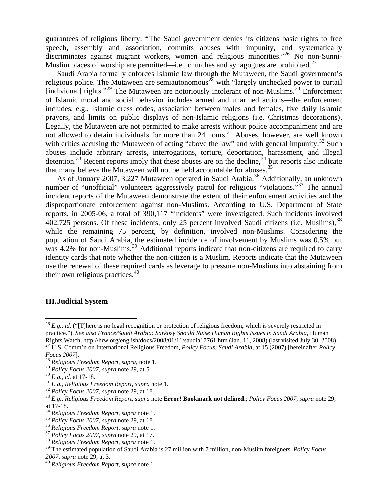guarantees of religious liberty: "The Saudi government denies its citizens basic rights to free speech, assembly and association, commits abuses with impunity, and systematically discriminates against migrant workers, women and religious minorities."<sup>[26](#page-2-0)</sup> No non-Sunni-Muslim places of worship are permitted—i.e., churches and synagogues are prohibited.<sup>[27](#page-2-1)</sup>

Saudi Arabia formally enforces Islamic law through the Mutaween, the Saudi government's religious police. The Mutaween are semiautonomous<sup>[28](#page-2-2)</sup> with "largely unchecked power to curtail [individual] rights."<sup>[29](#page-2-3)</sup> The Mutaween are notoriously intolerant of non-Muslims.<sup>[30](#page-2-4)</sup> Enforcement of Islamic moral and social behavior includes armed and unarmed actions—the enforcement includes, e.g., Islamic dress codes, association between males and females, five daily Islamic prayers, and limits on public displays of non-Islamic religions (i.e. Christmas decorations). Legally, the Mutaween are not permitted to make arrests without police accompaniment and are not allowed to detain individuals for more than  $24$  hours.<sup>[31](#page-2-5)</sup> Abuses, however, are well known with critics accusing the Mutaween of acting "above the law" and with general impunity. $32$  Such abuses include arbitrary arrests, interrogations, torture, deportation, harassment, and illegal detention.<sup>[33](#page-2-7)</sup> Recent reports imply that these abuses are on the decline,  $34$  but reports also indicate that many believe the Mutaween will not be held accountable for abuses.<sup>[35](#page-2-9)</sup>

As of January 2007, 3,227 Mutaween operated in Saudi Arabia.<sup>[36](#page-2-10)</sup> Additionally, an unknown number of "unofficial" volunteers aggressively patrol for religious "violations."<sup>[37](#page-2-11)</sup> The annual incident reports of the Mutaween demonstrate the extent of their enforcement activities and the disproportionate enforcement against non-Muslims. According to U.S. Department of State reports, in 2005-06, a total of 390,117 "incidents" were investigated. Such incidents involved 402,725 persons. Of these incidents, only 25 percent involved Saudi citizens (i.e. Muslims), [38](#page-2-12) while the remaining 75 percent, by definition, involved non-Muslims. Considering the population of Saudi Arabia, the estimated incidence of involvement by Muslims was 0.5% but was 4.2% for non-Muslims.<sup>[39](#page-2-13)</sup> Additional reports indicate that non-citizens are required to carry identity cards that note whether the non-citizen is a Muslim. Reports indicate that the Mutaween use the renewal of these required cards as leverage to pressure non-Muslims into abstaining from their own religious practices. $40$ 

#### **III.Judicial System**

 $\overline{a}$ 

<span id="page-2-0"></span> $^{26}$  *E.g., id.* ("[T]here is no legal recognition or protection of religious freedom, which is severely restricted in practice."). *See also France/Saudi Arabia: Sarkozy Should Raise Human Rights Issues in Saudi Arabia*, Human Rights Watch, http://hrw.org/english/docs/2008/01/11/saudia17761.htm (Jan. 11, 2008) (last visited July 30, 2008).<br><sup>27</sup> U.S. Comm'n on International Religious Freedom, *Policy Focus: Saudi Arabia*, at 15 (2007) [hereinafte

<span id="page-2-2"></span><span id="page-2-1"></span>*Focus 2007*]. 28 *Religious Freedom Report*, *supra*, note 1.

<span id="page-2-6"></span><span id="page-2-5"></span>

<span id="page-2-7"></span>

<span id="page-2-4"></span><span id="page-2-3"></span><sup>&</sup>lt;sup>30</sup> E.g., id. at 17-18.<br><sup>31</sup> E.g., Religious Freedom Report, supra note 1.<br><sup>32</sup> Policy Focus 2007, supra note 29, at 18.<br><sup>33</sup> E.g., Religious Freedom Report, supra note **Error! Bookmark not defined.**; Policy Focus 2007, at 17-18.<br><sup>34</sup> Religious Freedom Report, supra note 1.

<span id="page-2-8"></span>

<span id="page-2-10"></span>

<span id="page-2-9"></span><sup>&</sup>lt;sup>35</sup> Policy Focus 2007, supra note 29, at 18.<br><sup>36</sup> Religious Freedom Report, supra note 1.<br><sup>37</sup> Policy Focus 2007, supra note 29, at 17.<br><sup>38</sup> Religious Freedom Report, supra note 1.

<span id="page-2-12"></span><span id="page-2-11"></span>

<span id="page-2-13"></span><sup>39</sup> The estimated population of Saudi Arabia is 27 million with 7 million, non-Muslim foreigners. *Policy Focus* 

<span id="page-2-14"></span>*<sup>2007</sup>*, *supra* note 29, at 3. 40 *Religious Freedom Report*, *supra* note 1.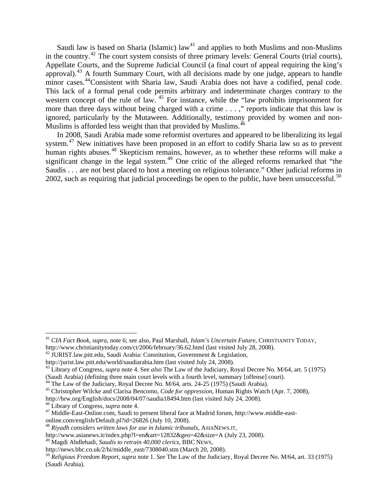Saudi law is based on Sharia (Islamic) law<sup>[41](#page-3-0)</sup> and applies to both Muslims and non-Muslims in the country.[42](#page-3-1) The court system consists of three primary levels: General Courts (trial courts), Appellate Courts, and the Supreme Judicial Council (a final court of appeal requiring the king's approval).[43](#page-3-2) A fourth Summary Court, with all decisions made by one judge, appears to handle minor cases.<sup>[44](#page-3-3)</sup>Consistent with Sharia law, Saudi Arabia does not have a codified, penal code. This lack of a formal penal code permits arbitrary and indeterminate charges contrary to the western concept of the rule of law. <sup>[45](#page-3-4)</sup> For instance, while the "law prohibits imprisonment for more than three days without being charged with a crime . . . ," reports indicate that this law is ignored, particularly by the Mutaween. Additionally, testimony provided by women and non-Muslims is afforded less weight than that provided by Muslims.<sup>[46](#page-3-5)</sup>

In 2008, Saudi Arabia made some reformist overtures and appeared to be liberalizing its legal system.<sup>[47](#page-3-6)</sup> New initiatives have been proposed in an effort to codify Sharia law so as to prevent human rights abuses.<sup>[48](#page-3-7)</sup> Skepticism remains, however, as to whether these reforms will make a significant change in the legal system.<sup>[49](#page-3-8)</sup> One critic of the alleged reforms remarked that "the Saudis . . . are not best placed to host a meeting on religious tolerance." Other judicial reforms in 2002, such as requiring that judicial proceedings be open to the public, have been unsuccessful.<sup>[50](#page-3-9)</sup>

 $\overline{a}$ 

<span id="page-3-0"></span><sup>41</sup> *CIA Fact Book*, *supra*, note 6; see also, Paul Marshall, *Islam's Uncertain Future*, CHRISTIANITY TODAY, http://www.christianitytoday.com/ct/2006/february/36.62.html (last visited July 28, 2008). 42 JURIST.law.pitt.edu, Saudi Arabia: Constitution, Government & Legislation,

<span id="page-3-1"></span>

http://jurist.law.pitt.edu/world/saudiarabia.htm (last visited July 24, 2008). 43 Library of Congress, *supra* note 4. See *also* The Law of the Judiciary, Royal Decree No. M/64, art. 5 (1975)

<span id="page-3-4"></span>

<span id="page-3-3"></span><span id="page-3-2"></span><sup>(</sup>Saudi Arabia) (defining three main court levels with a fourth level, summary [offense] court).<br><sup>44</sup> The Law of the Judiciary, Royal Decree No. M/64, arts. 24-25 (1975) (Saudi Arabia).<br><sup>45</sup> Christopher Wilcke and Clarisa B

<span id="page-3-6"></span><span id="page-3-5"></span> $^{46}$  Library of Congress, *supra* note 4.<br><sup>47</sup> Middle-East-Online.com, Saudi to present liberal face at Madrid forum, http://www.middle-eastonline.com/english/Default.pl?id=26826 (July 10, 2008).

<span id="page-3-7"></span><sup>48</sup> *Riyadh considers written laws for use in Islamic tribunals*, ASIANEWS.IT,

http://www.asianews.it/index.php?l=en&art=12832&geo=42&size=A (July 23, 2008).

<span id="page-3-8"></span><sup>&</sup>lt;sup>49</sup> Magdi Abdlehadi, *Saudis to retrain 40,000 clerics*, BBC NEWS,<br>http://news.bbc.co.uk/2/hi/middle\_east/7308040.stm (March 20, 2008).

<span id="page-3-9"></span><sup>&</sup>lt;sup>50</sup> Religious Freedom Report, *supra* note 1. *See* The Law of the Judiciary, Royal Decree No. M/64, art. 33 (1975) (Saudi Arabia).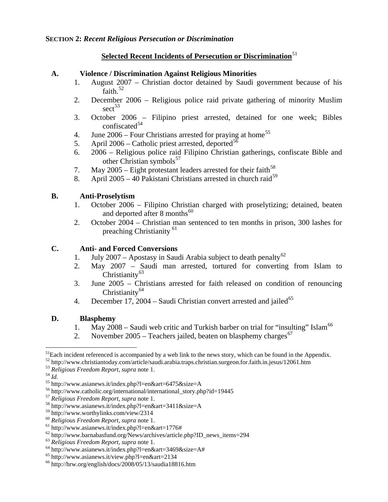# **<u>Selected Recent Incidents of Persecution or Discrimination</u><sup>[51](#page-4-0)</sup>**

### **A. Violence / Discrimination Against Religious Minorities**

- 1. August 2007 Christian doctor detained by Saudi government because of his faith. $52$
- 2. December 2006 Religious police raid private gathering of minority Muslim  $\sec t^{53}$  $\sec t^{53}$  $\sec t^{53}$
- 3. October 2006 Filipino priest arrested, detained for one week; Bibles confiscated<sup>[54](#page-4-3)</sup>
- 4. June  $2006$  Four Christians arrested for praying at home<sup>[55](#page-4-4)</sup>
- 5. April 2006 Catholic priest arrested, deported<sup>[56](#page-4-5)</sup>
- 6. 2006 Religious police raid Filipino Christian gatherings, confiscate Bible and other Christian symbols $^{57}$  $^{57}$  $^{57}$
- 7. May  $2005$  Eight protestant leaders arrested for their faith<sup>[58](#page-4-7)</sup>
- 8. April 2005 40 Pakistani Christians arrested in church raid<sup>[59](#page-4-8)</sup>

# **B. Anti-Proselytism**

- 1. October 2006 Filipino Christian charged with proselytizing; detained, beaten and deported after 8 months $^{60}$  $^{60}$  $^{60}$
- 2. October 2004 Christian man sentenced to ten months in prison, 300 lashes for preaching Christianity [61](#page-4-10)

# **C. Anti- and Forced Conversions**

- 1. July 2007 Apostasy in Saudi Arabia subject to death penalty<sup>[62](#page-4-11)</sup>
- 2. May 2007 Saudi man arrested, tortured for converting from Islam to Christianity<sup>[63](#page-4-12)</sup>
- 3. June 2005 Christians arrested for faith released on condition of renouncing Christianity $64$
- 4. December 17, 2004 Saudi Christian convert arrested and jailed<sup>[65](#page-4-14)</sup>

# **D. Blasphemy**

- 1. May 2008 Saudi web critic and Turkish barber on trial for "insulting" Islam<sup>[66](#page-4-15)</sup>
- 2. November 2005 Teachers jailed, beaten on blasphemy charges<sup>[67](#page-4-15)</sup>

<span id="page-4-3"></span>

 $\overline{a}$ <sup>51</sup>Each incident referenced is accompanied by a web link to the news story, which can be found in the Appendix.

<span id="page-4-2"></span><span id="page-4-1"></span><span id="page-4-0"></span><sup>&</sup>lt;sup>52</sup> http://www.christiantoday.com/article/saudi.arabia.traps.christian.surgeon.for.faith.in.jesus/12061.htm<br><sup>53</sup> Religious Freedom Report, supra note 1.<br><sup>54</sup> Id.<br><sup>55</sup> http://www.asianews.it/index.php?l=en&art=6475&size=A

<span id="page-4-4"></span>

<span id="page-4-5"></span>

<span id="page-4-7"></span><span id="page-4-6"></span><sup>57</sup> *Religious Freedom Report*, *supra* note 1. 58 http://www.asianews.it/index.php?l=en&art=3411&size=A

<span id="page-4-8"></span><sup>&</sup>lt;sup>59</sup> http://www.worthylinks.com/view/2314<br><sup>60</sup> Religious Freedom Report, supra note 1.

<span id="page-4-11"></span><span id="page-4-10"></span><span id="page-4-9"></span><sup>&</sup>lt;sup>61</sup> http://www.asianews.it/index.php?l=en&art=1776#<br><sup>62</sup> http://www.barnabasfund.org/News/archives/article.php?ID\_news\_items=294<br><sup>63</sup> Religious Freedom Report, supra note 1.<br><sup>64</sup> http://www.asianews.it/index.php?l=en&art

<span id="page-4-12"></span>

<span id="page-4-13"></span>

<span id="page-4-15"></span><span id="page-4-14"></span> $^{66}$  http://hrw.org/english/docs/2008/05/13/saudia18816.htm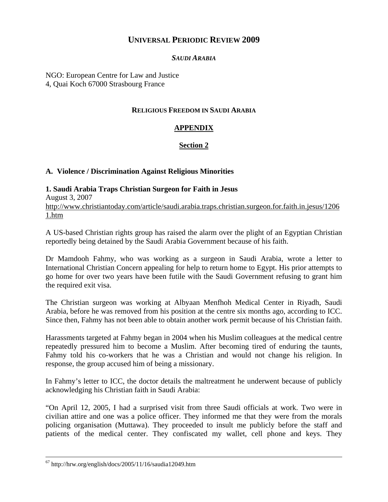# **UNIVERSAL PERIODIC REVIEW 2009**

# *SAUDI ARABIA*

NGO: European Centre for Law and Justice 4, Quai Koch 67000 Strasbourg France

### **RELIGIOUS FREEDOM IN SAUDI ARABIA**

# **APPENDIX**

# **Section 2**

### **A. Violence / Discrimination Against Religious Minorities**

**1. Saudi Arabia Traps Christian Surgeon for Faith in Jesus**  August 3, 2007 [http://www.christiantoday.com/article/saudi.arabia.traps.christian.surgeon.for.faith.in.jesus/1206](http://www.christiantoday.com/article/saudi.arabia.traps.christian.surgeon.for.faith.in.jesus/12061.htm) [1.htm](http://www.christiantoday.com/article/saudi.arabia.traps.christian.surgeon.for.faith.in.jesus/12061.htm)

A US-based Christian rights group has raised the alarm over the plight of an Egyptian Christian reportedly being detained by the Saudi Arabia Government because of his faith.

Dr Mamdooh Fahmy, who was working as a surgeon in Saudi Arabia, wrote a letter to International Christian Concern appealing for help to return home to Egypt. His prior attempts to go home for over two years have been futile with the Saudi Government refusing to grant him the required exit visa.

The Christian surgeon was working at Albyaan Menfhoh Medical Center in Riyadh, Saudi Arabia, before he was removed from his position at the centre six months ago, according to ICC. Since then, Fahmy has not been able to obtain another work permit because of his Christian faith.

Harassments targeted at Fahmy began in 2004 when his Muslim colleagues at the medical centre repeatedly pressured him to become a Muslim. After becoming tired of enduring the taunts, Fahmy told his co-workers that he was a Christian and would not change his religion. In response, the group accused him of being a missionary.

In Fahmy's letter to ICC, the doctor details the maltreatment he underwent because of publicly acknowledging his Christian faith in Saudi Arabia:

"On April 12, 2005, I had a surprised visit from three Saudi officials at work. Two were in civilian attire and one was a police officer. They informed me that they were from the morals policing organisation (Muttawa). They proceeded to insult me publicly before the staff and patients of the medical center. They confiscated my wallet, cell phone and keys. They

 $67$  http://hrw.org/english/docs/2005/11/16/saudia12049.htm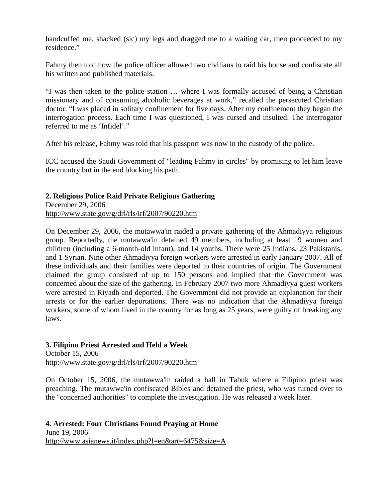handcuffed me, shacked (sic) my legs and dragged me to a waiting car, then proceeded to my residence."

Fahmy then told how the police officer allowed two civilians to raid his house and confiscate all his written and published materials.

"I was then taken to the police station … where I was formally accused of being a Christian missionary and of consuming alcoholic beverages at work," recalled the persecuted Christian doctor. "I was placed in solitary confinement for five days. After my confinement they began the interrogation process. Each time I was questioned, I was cursed and insulted. The interrogator referred to me as 'Infidel'."

After his release, Fahmy was told that his passport was now in the custody of the police.

ICC accused the Saudi Government of "leading Fahmy in circles" by promising to let him leave the country but in the end blocking his path.

# **2. Religious Police Raid Private Religious Gathering**

December 29, 2006 <http://www.state.gov/g/drl/rls/irf/2007/90220.htm>

On December 29, 2006, the mutawwa'in raided a private gathering of the Ahmadiyya religious group. Reportedly, the mutawwa'in detained 49 members, including at least 19 women and children (including a 6-month-old infant), and 14 youths. There were 25 Indians, 23 Pakistanis, and 1 Syrian. Nine other Ahmadiyya foreign workers were arrested in early January 2007. All of these individuals and their families were deported to their countries of origin. The Government claimed the group consisted of up to 150 persons and implied that the Government was concerned about the size of the gathering. In February 2007 two more Ahmadiyya guest workers were arrested in Riyadh and deported. The Government did not provide an explanation for their arrests or for the earlier deportations. There was no indication that the Ahmadiyya foreign workers, some of whom lived in the country for as long as 25 years, were guilty of breaking any laws.

#### **3. Filipino Priest Arrested and Held a Week**

October 15, 2006 <http://www.state.gov/g/drl/rls/irf/2007/90220.htm>

On October 15, 2006, the mutawwa'in raided a hall in Tabuk where a Filipino priest was preaching. The mutawwa'in confiscated Bibles and detained the priest, who was turned over to the "concerned authorities" to complete the investigation. He was released a week later.

**4. Arrested: Four Christians Found Praying at Home**  June 19, 2006 <http://www.asianews.it/index.php?l=en&art=6475&size=A>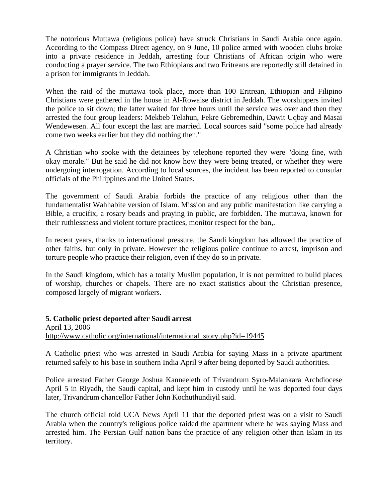The notorious Muttawa (religious police) have struck Christians in Saudi Arabia once again. According to the Compass Direct agency, on 9 June, 10 police armed with wooden clubs broke into a private residence in Jeddah, arresting four Christians of African origin who were conducting a prayer service. The two Ethiopians and two Eritreans are reportedly still detained in a prison for immigrants in Jeddah.

When the raid of the muttawa took place, more than 100 Eritrean, Ethiopian and Filipino Christians were gathered in the house in Al-Rowaise district in Jeddah. The worshippers invited the police to sit down; the latter waited for three hours until the service was over and then they arrested the four group leaders: Mekbeb Telahun, Fekre Gebremedhin, Dawit Uqbay and Masai Wendewesen. All four except the last are married. Local sources said "some police had already come two weeks earlier but they did nothing then."

A Christian who spoke with the detainees by telephone reported they were "doing fine, with okay morale." But he said he did not know how they were being treated, or whether they were undergoing interrogation. According to local sources, the incident has been reported to consular officials of the Philippines and the United States.

The government of Saudi Arabia forbids the practice of any religious other than the fundamentalist Wahhabite version of Islam. Mission and any public manifestation like carrying a Bible, a crucifix, a rosary beads and praying in public, are forbidden. The muttawa, known for their ruthlessness and violent torture practices, monitor respect for the ban,.

In recent years, thanks to international pressure, the Saudi kingdom has allowed the practice of other faiths, but only in private. However the religious police continue to arrest, imprison and torture people who practice their religion, even if they do so in private.

In the Saudi kingdom, which has a totally Muslim population, it is not permitted to build places of worship, churches or chapels. There are no exact statistics about the Christian presence, composed largely of migrant workers.

**5. Catholic priest deported after Saudi arrest**  April 13, 2006 [http://www.catholic.org/international/international\\_story.php?id=19445](http://www.catholic.org/international/international_story.php?id=19445)

A Catholic priest who was arrested in Saudi Arabia for saying Mass in a private apartment returned safely to his base in southern India April 9 after being deported by Saudi authorities.

Police arrested Father George Joshua Kanneeleth of Trivandrum Syro-Malankara Archdiocese April 5 in Riyadh, the Saudi capital, and kept him in custody until he was deported four days later, Trivandrum chancellor Father John Kochuthundiyil said.

The church official told UCA News April 11 that the deported priest was on a visit to Saudi Arabia when the country's religious police raided the apartment where he was saying Mass and arrested him. The Persian Gulf nation bans the practice of any religion other than Islam in its territory.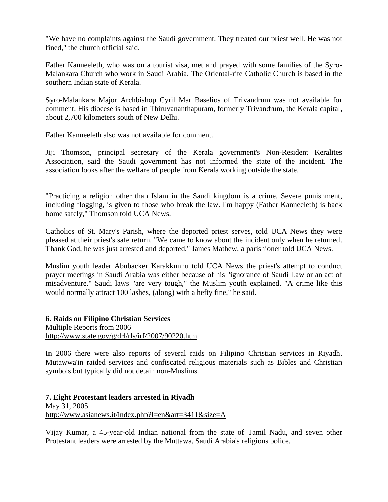"We have no complaints against the Saudi government. They treated our priest well. He was not fined," the church official said.

Father Kanneeleth, who was on a tourist visa, met and prayed with some families of the Syro-Malankara Church who work in Saudi Arabia. The Oriental-rite Catholic Church is based in the southern Indian state of Kerala.

Syro-Malankara Major Archbishop Cyril Mar Baselios of Trivandrum was not available for comment. His diocese is based in Thiruvananthapuram, formerly Trivandrum, the Kerala capital, about 2,700 kilometers south of New Delhi.

Father Kanneeleth also was not available for comment.

Jiji Thomson, principal secretary of the Kerala government's Non-Resident Keralites Association, said the Saudi government has not informed the state of the incident. The association looks after the welfare of people from Kerala working outside the state.

"Practicing a religion other than Islam in the Saudi kingdom is a crime. Severe punishment, including flogging, is given to those who break the law. I'm happy (Father Kanneeleth) is back home safely," Thomson told UCA News.

Catholics of St. Mary's Parish, where the deported priest serves, told UCA News they were pleased at their priest's safe return. "We came to know about the incident only when he returned. Thank God, he was just arrested and deported," James Mathew, a parishioner told UCA News.

Muslim youth leader Abubacker Karakkunnu told UCA News the priest's attempt to conduct prayer meetings in Saudi Arabia was either because of his "ignorance of Saudi Law or an act of misadventure." Saudi laws "are very tough," the Muslim youth explained. "A crime like this would normally attract 100 lashes, (along) with a hefty fine," he said.

**6. Raids on Filipino Christian Services**  Multiple Reports from 2006 <http://www.state.gov/g/drl/rls/irf/2007/90220.htm>

In 2006 there were also reports of several raids on Filipino Christian services in Riyadh. Mutawwa'in raided services and confiscated religious materials such as Bibles and Christian symbols but typically did not detain non-Muslims.

**7. Eight Protestant leaders arrested in Riyadh**  May 31, 2005 <http://www.asianews.it/index.php?l=en&art=3411&size=A>

Vijay Kumar, a 45-year-old Indian national from the state of Tamil Nadu, and seven other Protestant leaders were arrested by the Muttawa, Saudi Arabia's religious police.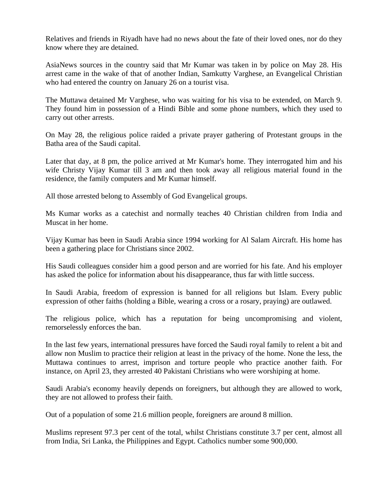Relatives and friends in Riyadh have had no news about the fate of their loved ones, nor do they know where they are detained.

AsiaNews sources in the country said that Mr Kumar was taken in by police on May 28. His arrest came in the wake of that of another Indian, Samkutty Varghese, an Evangelical Christian who had entered the country on January 26 on a tourist visa.

The Muttawa detained Mr Varghese, who was waiting for his visa to be extended, on March 9. They found him in possession of a Hindi Bible and some phone numbers, which they used to carry out other arrests.

On May 28, the religious police raided a private prayer gathering of Protestant groups in the Batha area of the Saudi capital.

Later that day, at 8 pm, the police arrived at Mr Kumar's home. They interrogated him and his wife Christy Vijay Kumar till 3 am and then took away all religious material found in the residence, the family computers and Mr Kumar himself.

All those arrested belong to Assembly of God Evangelical groups.

Ms Kumar works as a catechist and normally teaches 40 Christian children from India and Muscat in her home.

Vijay Kumar has been in Saudi Arabia since 1994 working for Al Salam Aircraft. His home has been a gathering place for Christians since 2002.

His Saudi colleagues consider him a good person and are worried for his fate. And his employer has asked the police for information about his disappearance, thus far with little success.

In Saudi Arabia, freedom of expression is banned for all religions but Islam. Every public expression of other faiths (holding a Bible, wearing a cross or a rosary, praying) are outlawed.

The religious police, which has a reputation for being uncompromising and violent, remorselessly enforces the ban.

In the last few years, international pressures have forced the Saudi royal family to relent a bit and allow non Muslim to practice their religion at least in the privacy of the home. None the less, the Muttawa continues to arrest, imprison and torture people who practice another faith. For instance, on April 23, they arrested 40 Pakistani Christians who were worshiping at home.

Saudi Arabia's economy heavily depends on foreigners, but although they are allowed to work, they are not allowed to profess their faith.

Out of a population of some 21.6 million people, foreigners are around 8 million.

Muslims represent 97.3 per cent of the total, whilst Christians constitute 3.7 per cent, almost all from India, Sri Lanka, the Philippines and Egypt. Catholics number some 900,000.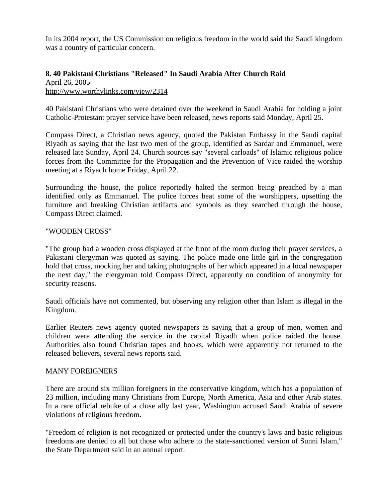In its 2004 report, the US Commission on religious freedom in the world said the Saudi kingdom was a country of particular concern.

### **8. 40 Pakistani Christians "Released" In Saudi Arabia After Church Raid**  April 26, 2005 <http://www.worthylinks.com/view/2314>

40 Pakistani Christians who were detained over the weekend in Saudi Arabia for holding a joint Catholic-Protestant prayer service have been released, news reports said Monday, April 25.

Compass Direct, a Christian news agency, quoted the Pakistan Embassy in the Saudi capital Riyadh as saying that the last two men of the group, identified as Sardar and Emmanuel, were released late Sunday, April 24. Church sources say "several carloads" of Islamic religious police forces from the Committee for the Propagation and the Prevention of Vice raided the worship meeting at a Riyadh home Friday, April 22.

Surrounding the house, the police reportedly halted the sermon being preached by a man identified only as Emmanuel. The police forces beat some of the worshippers, upsetting the furniture and breaking Christian artifacts and symbols as they searched through the house, Compass Direct claimed.

#### "WOODEN CROSS"

"The group had a wooden cross displayed at the front of the room during their prayer services, a Pakistani clergyman was quoted as saying. The police made one little girl in the congregation hold that cross, mocking her and taking photographs of her which appeared in a local newspaper the next day," the clergyman told Compass Direct, apparently on condition of anonymity for security reasons.

Saudi officials have not commented, but observing any religion other than Islam is illegal in the Kingdom.

Earlier Reuters news agency quoted newspapers as saying that a group of men, women and children were attending the service in the capital Riyadh when police raided the house. Authorities also found Christian tapes and books, which were apparently not returned to the released believers, several news reports said.

#### MANY FOREIGNERS

There are around six million foreigners in the conservative kingdom, which has a population of 23 million, including many Christians from Europe, North America, Asia and other Arab states. In a rare official rebuke of a close ally last year, Washington accused Saudi Arabia of severe violations of religious freedom.

"Freedom of religion is not recognized or protected under the country's laws and basic religious freedoms are denied to all but those who adhere to the state-sanctioned version of Sunni Islam," the State Department said in an annual report.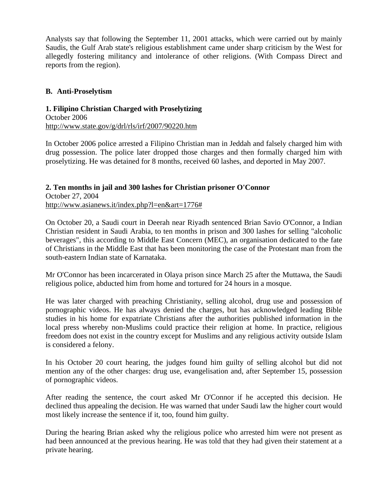Analysts say that following the September 11, 2001 attacks, which were carried out by mainly Saudis, the Gulf Arab state's religious establishment came under sharp criticism by the West for allegedly fostering militancy and intolerance of other religions. (With Compass Direct and reports from the region).

### **B. Anti-Proselytism**

#### **1. Filipino Christian Charged with Proselytizing**  October 2006

<http://www.state.gov/g/drl/rls/irf/2007/90220.htm>

In October 2006 police arrested a Filipino Christian man in Jeddah and falsely charged him with drug possession. The police later dropped those charges and then formally charged him with proselytizing. He was detained for 8 months, received 60 lashes, and deported in May 2007.

### **2. Ten months in jail and 300 lashes for Christian prisoner O'Connor**  October 27, 2004 [http://www.asianews.it/index.php?l=en&art=1776#](http://www.asianews.it/index.php?l=en&art=1776)

On October 20, a Saudi court in Deerah near Riyadh sentenced Brian Savio O'Connor, a Indian Christian resident in Saudi Arabia, to ten months in prison and 300 lashes for selling "alcoholic beverages", this according to Middle East Concern (MEC), an organisation dedicated to the fate of Christians in the Middle East that has been monitoring the case of the Protestant man from the south-eastern Indian state of Karnataka.

Mr O'Connor has been incarcerated in Olaya prison since March 25 after the Muttawa, the Saudi religious police, abducted him from home and tortured for 24 hours in a mosque.

He was later charged with preaching Christianity, selling alcohol, drug use and possession of pornographic videos. He has always denied the charges, but has acknowledged leading Bible studies in his home for expatriate Christians after the authorities published information in the local press whereby non-Muslims could practice their religion at home. In practice, religious freedom does not exist in the country except for Muslims and any religious activity outside Islam is considered a felony.

In his October 20 court hearing, the judges found him guilty of selling alcohol but did not mention any of the other charges: drug use, evangelisation and, after September 15, possession of pornographic videos.

After reading the sentence, the court asked Mr O'Connor if he accepted this decision. He declined thus appealing the decision. He was warned that under Saudi law the higher court would most likely increase the sentence if it, too, found him guilty.

During the hearing Brian asked why the religious police who arrested him were not present as had been announced at the previous hearing. He was told that they had given their statement at a private hearing.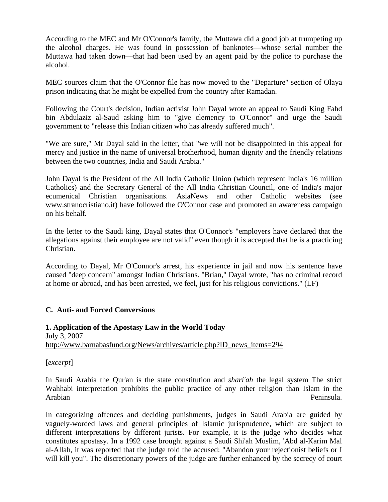According to the MEC and Mr O'Connor's family, the Muttawa did a good job at trumpeting up the alcohol charges. He was found in possession of banknotes—whose serial number the Muttawa had taken down—that had been used by an agent paid by the police to purchase the alcohol.

MEC sources claim that the O'Connor file has now moved to the "Departure" section of Olaya prison indicating that he might be expelled from the country after Ramadan.

Following the Court's decision, Indian activist John Dayal wrote an appeal to Saudi King Fahd bin Abdulaziz al-Saud asking him to "give clemency to O'Connor" and urge the Saudi government to "release this Indian citizen who has already suffered much".

"We are sure," Mr Dayal said in the letter, that "we will not be disappointed in this appeal for mercy and justice in the name of universal brotherhood, human dignity and the friendly relations between the two countries, India and Saudi Arabia."

John Dayal is the President of the All India Catholic Union (which represent India's 16 million Catholics) and the Secretary General of the All India Christian Council, one of India's major ecumenical Christian organisations. AsiaNews and other Catholic websites (see www.stranocristiano.it) have followed the O'Connor case and promoted an awareness campaign on his behalf.

In the letter to the Saudi king, Dayal states that O'Connor's "employers have declared that the allegations against their employee are not valid" even though it is accepted that he is a practicing Christian.

According to Dayal, Mr O'Connor's arrest, his experience in jail and now his sentence have caused "deep concern" amongst Indian Christians. "Brian," Dayal wrote, "has no criminal record at home or abroad, and has been arrested, we feel, just for his religious convictions." (LF)

### **C. Anti- and Forced Conversions**

### **1. Application of the Apostasy Law in the World Today**  July 3, 2007 [http://www.barnabasfund.org/News/archives/article.php?ID\\_news\\_items=294](http://www.barnabasfund.org/News/archives/article.php?ID_news_items=294)

[*excerpt*]

In Saudi Arabia the Qur'an is the state constitution and *shari'ah* the legal system The strict Wahhabi interpretation prohibits the public practice of any other religion than Islam in the Arabian Peninsula.

In categorizing offences and deciding punishments, judges in Saudi Arabia are guided by vaguely-worded laws and general principles of Islamic jurisprudence, which are subject to different interpretations by different jurists. For example, it is the judge who decides what constitutes apostasy. In a 1992 case brought against a Saudi Shi'ah Muslim, 'Abd al-Karim Mal al-Allah, it was reported that the judge told the accused: "Abandon your rejectionist beliefs or I will kill you". The discretionary powers of the judge are further enhanced by the secrecy of court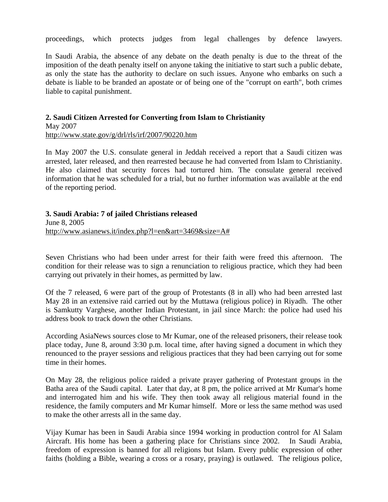proceedings, which protects judges from legal challenges by defence lawyers.

In Saudi Arabia, the absence of any debate on the death penalty is due to the threat of the imposition of the death penalty itself on anyone taking the initiative to start such a public debate, as only the state has the authority to declare on such issues. Anyone who embarks on such a debate is liable to be branded an apostate or of being one of the "corrupt on earth", both crimes liable to capital punishment.

### **2. Saudi Citizen Arrested for Converting from Islam to Christianity**  May 2007

<http://www.state.gov/g/drl/rls/irf/2007/90220.htm>

In May 2007 the U.S. consulate general in Jeddah received a report that a Saudi citizen was arrested, later released, and then rearrested because he had converted from Islam to Christianity. He also claimed that security forces had tortured him. The consulate general received information that he was scheduled for a trial, but no further information was available at the end of the reporting period.

#### **3. Saudi Arabia: 7 of jailed Christians released**

June 8, 2005 [http://www.asianews.it/index.php?l=en&art=3469&size=A#](http://www.asianews.it/index.php?l=en&art=3469&size=A)

Seven Christians who had been under arrest for their faith were freed this afternoon. The condition for their release was to sign a renunciation to religious practice, which they had been carrying out privately in their homes, as permitted by law.

Of the 7 released, 6 were part of the group of Protestants (8 in all) who had been arrested last May 28 in an extensive raid carried out by the Muttawa (religious police) in Riyadh. The other is Samkutty Varghese, another Indian Protestant, in jail since March: the police had used his address book to track down the other Christians.

According AsiaNews sources close to Mr Kumar, one of the released prisoners, their release took place today, June 8, around 3:30 p.m. local time, after having signed a document in which they renounced to the prayer sessions and religious practices that they had been carrying out for some time in their homes.

On May 28, the religious police raided a private prayer gathering of Protestant groups in the Batha area of the Saudi capital. Later that day, at 8 pm, the police arrived at Mr Kumar's home and interrogated him and his wife. They then took away all religious material found in the residence, the family computers and Mr Kumar himself. More or less the same method was used to make the other arrests all in the same day.

Vijay Kumar has been in Saudi Arabia since 1994 working in production control for Al Salam Aircraft. His home has been a gathering place for Christians since 2002. In Saudi Arabia, freedom of expression is banned for all religions but Islam. Every public expression of other faiths (holding a Bible, wearing a cross or a rosary, praying) is outlawed. The religious police,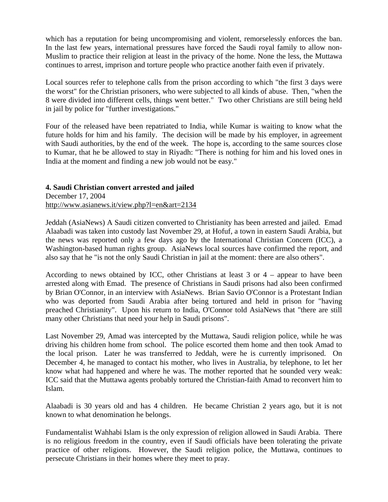which has a reputation for being uncompromising and violent, remorselessly enforces the ban. In the last few years, international pressures have forced the Saudi royal family to allow non-Muslim to practice their religion at least in the privacy of the home. None the less, the Muttawa continues to arrest, imprison and torture people who practice another faith even if privately.

Local sources refer to telephone calls from the prison according to which "the first 3 days were the worst" for the Christian prisoners, who were subjected to all kinds of abuse. Then, "when the 8 were divided into different cells, things went better." Two other Christians are still being held in jail by police for "further investigations."

Four of the released have been repatriated to India, while Kumar is waiting to know what the future holds for him and his family. The decision will be made by his employer, in agreement with Saudi authorities, by the end of the week. The hope is, according to the same sources close to Kumar, that he be allowed to stay in Riyadh: "There is nothing for him and his loved ones in India at the moment and finding a new job would not be easy."

### **4. Saudi Christian convert arrested and jailed**

December 17, 2004 <http://www.asianews.it/view.php?l=en&art=2134>

Jeddah (AsiaNews) A Saudi citizen converted to Christianity has been arrested and jailed. Emad Alaabadi was taken into custody last November 29, at Hofuf, a town in eastern Saudi Arabia, but the news was reported only a few days ago by the International Christian Concern (ICC), a Washington-based human rights group. AsiaNews local sources have confirmed the report, and also say that he "is not the only Saudi Christian in jail at the moment: there are also others".

According to news obtained by ICC, other Christians at least 3 or 4 – appear to have been arrested along with Emad. The presence of Christians in Saudi prisons had also been confirmed by Brian O'Connor, in an interview with AsiaNews. Brian Savio O'Connor is a Protestant Indian who was deported from Saudi Arabia after being tortured and held in prison for "having preached Christianity". Upon his return to India, O'Connor told AsiaNews that "there are still many other Christians that need your help in Saudi prisons".

Last November 29, Amad was intercepted by the Muttawa, Saudi religion police, while he was driving his children home from school. The police escorted them home and then took Amad to the local prison. Later he was transferred to Jeddah, were he is currently imprisoned. On December 4, he managed to contact his mother, who lives in Australia, by telephone, to let her know what had happened and where he was. The mother reported that he sounded very weak: ICC said that the Muttawa agents probably tortured the Christian-faith Amad to reconvert him to Islam.

Alaabadi is 30 years old and has 4 children. He became Christian 2 years ago, but it is not known to what denomination he belongs.

Fundamentalist Wahhabi Islam is the only expression of religion allowed in Saudi Arabia. There is no religious freedom in the country, even if Saudi officials have been tolerating the private practice of other religions. However, the Saudi religion police, the Muttawa, continues to persecute Christians in their homes where they meet to pray.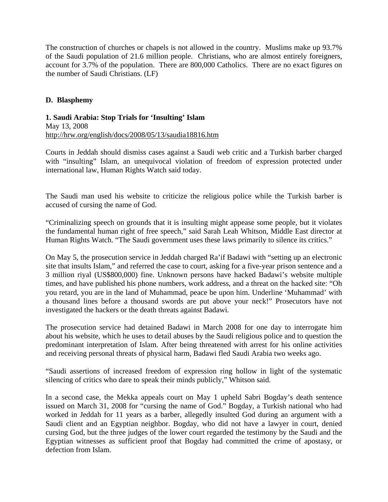The construction of churches or chapels is not allowed in the country. Muslims make up 93.7% of the Saudi population of 21.6 million people. Christians, who are almost entirely foreigners, account for 3.7% of the population. There are 800,000 Catholics. There are no exact figures on the number of Saudi Christians. (LF)

### **D. Blasphemy**

**1. Saudi Arabia: Stop Trials for 'Insulting' Islam**  May 13, 2008 <http://hrw.org/english/docs/2008/05/13/saudia18816.htm>

Courts in Jeddah should dismiss cases against a Saudi web critic and a Turkish barber charged with "insulting" Islam, an unequivocal violation of freedom of expression protected under international law, Human Rights Watch said today.

The Saudi man used his website to criticize the religious police while the Turkish barber is accused of cursing the name of God.

"Criminalizing speech on grounds that it is insulting might appease some people, but it violates the fundamental human right of free speech," said Sarah Leah Whitson, Middle East director at Human Rights Watch. "The Saudi government uses these laws primarily to silence its critics."

On May 5, the prosecution service in Jeddah charged Ra'if Badawi with "setting up an electronic site that insults Islam," and referred the case to court, asking for a five-year prison sentence and a 3 million riyal (US\$800,000) fine. Unknown persons have hacked Badawi's website multiple times, and have published his phone numbers, work address, and a threat on the hacked site: "Oh you retard, you are in the land of Muhammad, peace be upon him. Underline 'Muhammad' with a thousand lines before a thousand swords are put above your neck!" Prosecutors have not investigated the hackers or the death threats against Badawi.

The prosecution service had detained Badawi in March 2008 for one day to interrogate him about his website, which he uses to detail abuses by the Saudi religious police and to question the predominant interpretation of Islam. After being threatened with arrest for his online activities and receiving personal threats of physical harm, Badawi fled Saudi Arabia two weeks ago.

"Saudi assertions of increased freedom of expression ring hollow in light of the systematic silencing of critics who dare to speak their minds publicly," Whitson said.

In a second case, the Mekka appeals court on May 1 upheld Sabri Bogday's death sentence issued on March 31, 2008 for "cursing the name of God." Bogday, a Turkish national who had worked in Jeddah for 11 years as a barber, allegedly insulted God during an argument with a Saudi client and an Egyptian neighbor. Bogday, who did not have a lawyer in court, denied cursing God, but the three judges of the lower court regarded the testimony by the Saudi and the Egyptian witnesses as sufficient proof that Bogday had committed the crime of apostasy, or defection from Islam.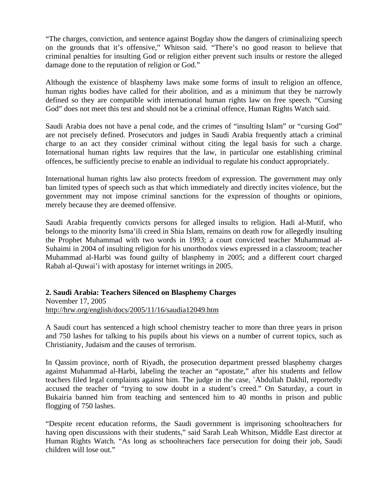"The charges, conviction, and sentence against Bogday show the dangers of criminalizing speech on the grounds that it's offensive," Whitson said. "There's no good reason to believe that criminal penalties for insulting God or religion either prevent such insults or restore the alleged damage done to the reputation of religion or God."

Although the existence of blasphemy laws make some forms of insult to religion an offence, human rights bodies have called for their abolition, and as a minimum that they be narrowly defined so they are compatible with international human rights law on free speech. "Cursing God" does not meet this test and should not be a criminal offence, Human Rights Watch said.

Saudi Arabia does not have a penal code, and the crimes of "insulting Islam" or "cursing God" are not precisely defined. Prosecutors and judges in Saudi Arabia frequently attach a criminal charge to an act they consider criminal without citing the legal basis for such a charge. International human rights law requires that the law, in particular one establishing criminal offences, be sufficiently precise to enable an individual to regulate his conduct appropriately.

International human rights law also protects freedom of expression. The government may only ban limited types of speech such as that which immediately and directly incites violence, but the government may not impose criminal sanctions for the expression of thoughts or opinions, merely because they are deemed offensive.

Saudi Arabia frequently convicts persons for alleged insults to religion. Hadi al-Mutif, who belongs to the minority Isma'ili creed in Shia Islam, remains on death row for allegedly insulting the Prophet Muhammad with two words in 1993; a court convicted teacher Muhammad al-Suhaimi in 2004 of insulting religion for his unorthodox views expressed in a classroom; teacher Muhammad al-Harbi was found guilty of blasphemy in 2005; and a different court charged Rabah al-Quwai'i with apostasy for internet writings in 2005.

# **2. Saudi Arabia: Teachers Silenced on Blasphemy Charges**

November 17, 2005 <http://hrw.org/english/docs/2005/11/16/saudia12049.htm>

A Saudi court has sentenced a high school chemistry teacher to more than three years in prison and 750 lashes for talking to his pupils about his views on a number of current topics, such as Christianity, Judaism and the causes of terrorism.

In Qassim province, north of Riyadh, the prosecution department pressed blasphemy charges against Muhammad al-Harbi, labeling the teacher an "apostate," after his students and fellow teachers filed legal complaints against him. The judge in the case, `Abdullah Dakhil, reportedly accused the teacher of "trying to sow doubt in a student's creed." On Saturday, a court in Bukairia banned him from teaching and sentenced him to 40 months in prison and public flogging of 750 lashes.

"Despite recent education reforms, the Saudi government is imprisoning schoolteachers for having open discussions with their students," said Sarah Leah Whitson, Middle East director at Human Rights Watch. "As long as schoolteachers face persecution for doing their job, Saudi children will lose out."